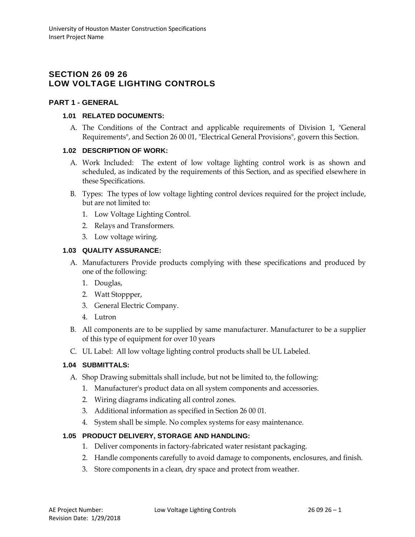# **SECTION 26 09 26 LOW VOLTAGE LIGHTING CONTROLS**

## **PART 1 - GENERAL**

#### **1.01 RELATED DOCUMENTS:**

A. The Conditions of the Contract and applicable requirements of Division 1, "General Requirements", and Section 26 00 01, "Electrical General Provisions", govern this Section.

## **1.02 DESCRIPTION OF WORK:**

- A. Work Included: The extent of low voltage lighting control work is as shown and scheduled, as indicated by the requirements of this Section, and as specified elsewhere in these Specifications.
- B. Types: The types of low voltage lighting control devices required for the project include, but are not limited to:
	- 1. Low Voltage Lighting Control.
	- 2. Relays and Transformers.
	- 3. Low voltage wiring.

## **1.03 QUALITY ASSURANCE:**

- A. Manufacturers Provide products complying with these specifications and produced by one of the following:
	- 1. Douglas,
	- 2. Watt Stoppper,
	- 3. General Electric Company.
	- 4. Lutron
- B. All components are to be supplied by same manufacturer. Manufacturer to be a supplier of this type of equipment for over 10 years
- C. UL Label: All low voltage lighting control products shall be UL Labeled.

## **1.04 SUBMITTALS:**

- A. Shop Drawing submittals shall include, but not be limited to, the following:
	- 1. Manufacturer's product data on all system components and accessories.
	- 2. Wiring diagrams indicating all control zones.
	- 3. Additional information as specified in Section 26 00 01.
	- 4. System shall be simple. No complex systems for easy maintenance.

#### **1.05 PRODUCT DELIVERY, STORAGE AND HANDLING:**

- 1. Deliver components in factory-fabricated water resistant packaging.
- 2. Handle components carefully to avoid damage to components, enclosures, and finish.
- 3. Store components in a clean, dry space and protect from weather.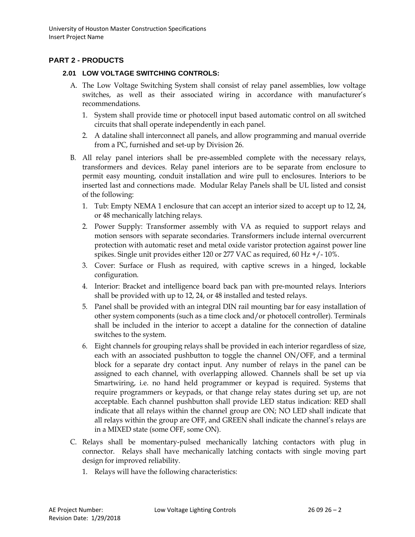# **PART 2 - PRODUCTS**

#### **2.01 LOW VOLTAGE SWITCHING CONTROLS:**

- A. The Low Voltage Switching System shall consist of relay panel assemblies, low voltage switches, as well as their associated wiring in accordance with manufacturer's recommendations.
	- 1. System shall provide time or photocell input based automatic control on all switched circuits that shall operate independently in each panel.
	- 2. A dataline shall interconnect all panels, and allow programming and manual override from a PC, furnished and set-up by Division 26.
- B. All relay panel interiors shall be pre-assembled complete with the necessary relays, transformers and devices. Relay panel interiors are to be separate from enclosure to permit easy mounting, conduit installation and wire pull to enclosures. Interiors to be inserted last and connections made. Modular Relay Panels shall be UL listed and consist of the following:
	- 1. Tub: Empty NEMA 1 enclosure that can accept an interior sized to accept up to 12, 24, or 48 mechanically latching relays.
	- 2. Power Supply: Transformer assembly with VA as requied to support relays and motion sensors with separate secondaries. Transformers include internal overcurrent protection with automatic reset and metal oxide varistor protection against power line spikes. Single unit provides either 120 or 277 VAC as required, 60 Hz +/- 10%.
	- 3. Cover: Surface or Flush as required, with captive screws in a hinged, lockable configuration.
	- 4. Interior: Bracket and intelligence board back pan with pre-mounted relays. Interiors shall be provided with up to 12, 24, or 48 installed and tested relays.
	- 5. Panel shall be provided with an integral DIN rail mounting bar for easy installation of other system components (such as a time clock and/or photocell controller). Terminals shall be included in the interior to accept a dataline for the connection of dataline switches to the system.
	- 6. Eight channels for grouping relays shall be provided in each interior regardless of size, each with an associated pushbutton to toggle the channel ON/OFF, and a terminal block for a separate dry contact input. Any number of relays in the panel can be assigned to each channel, with overlapping allowed. Channels shall be set up via Smartwiring, i.e. no hand held programmer or keypad is required. Systems that require programmers or keypads, or that change relay states during set up, are not acceptable. Each channel pushbutton shall provide LED status indication: RED shall indicate that all relays within the channel group are ON; NO LED shall indicate that all relays within the group are OFF, and GREEN shall indicate the channel's relays are in a MIXED state (some OFF, some ON).
- C. Relays shall be momentary-pulsed mechanically latching contactors with plug in connector. Relays shall have mechanically latching contacts with single moving part design for improved reliability.
	- 1. Relays will have the following characteristics: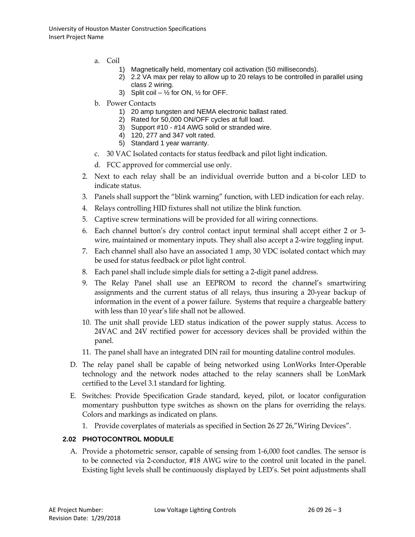- a. Coil
	- 1) Magnetically held, momentary coil activation (50 milliseconds).
	- 2) 2.2 VA max per relay to allow up to 20 relays to be controlled in parallel using class 2 wiring.
	- 3) Split coil  $-$  1/2 for ON, 1/2 for OFF.
- b. Power Contacts
	- 1) 20 amp tungsten and NEMA electronic ballast rated.
	- 2) Rated for 50,000 ON/OFF cycles at full load.
	- 3) Support #10 #14 AWG solid or stranded wire.
	- 4) 120, 277 and 347 volt rated.
	- 5) Standard 1 year warranty.
- c. 30 VAC Isolated contacts for status feedback and pilot light indication.
- d. FCC approved for commercial use only.
- 2. Next to each relay shall be an individual override button and a bi-color LED to indicate status.
- 3. Panels shall support the "blink warning" function, with LED indication for each relay.
- 4. Relays controlling HID fixtures shall not utilize the blink function.
- 5. Captive screw terminations will be provided for all wiring connections.
- 6. Each channel button's dry control contact input terminal shall accept either 2 or 3 wire, maintained or momentary inputs. They shall also accept a 2-wire toggling input.
- 7. Each channel shall also have an associated 1 amp, 30 VDC isolated contact which may be used for status feedback or pilot light control.
- 8. Each panel shall include simple dials for setting a 2-digit panel address.
- 9. The Relay Panel shall use an EEPROM to record the channel's smartwiring assignments and the current status of all relays, thus insuring a 20-year backup of information in the event of a power failure. Systems that require a chargeable battery with less than 10 year's life shall not be allowed.
- 10. The unit shall provide LED status indication of the power supply status. Access to 24VAC and 24V rectified power for accessory devices shall be provided within the panel.
- 11. The panel shall have an integrated DIN rail for mounting dataline control modules.
- D. The relay panel shall be capable of being networked using LonWorks Inter-Operable technology and the network nodes attached to the relay scanners shall be LonMark certified to the Level 3.1 standard for lighting.
- E. Switches: Provide Specification Grade standard, keyed, pilot, or locator configuration momentary pushbutton type switches as shown on the plans for overriding the relays. Colors and markings as indicated on plans.
	- 1. Provide coverplates of materials as specified in Section 26 27 26,"Wiring Devices".

#### **2.02 PHOTOCONTROL MODULE**

A. Provide a photometric sensor, capable of sensing from 1-6,000 foot candles. The sensor is to be connected via 2-conductor, #18 AWG wire to the control unit located in the panel. Existing light levels shall be continuously displayed by LED's. Set point adjustments shall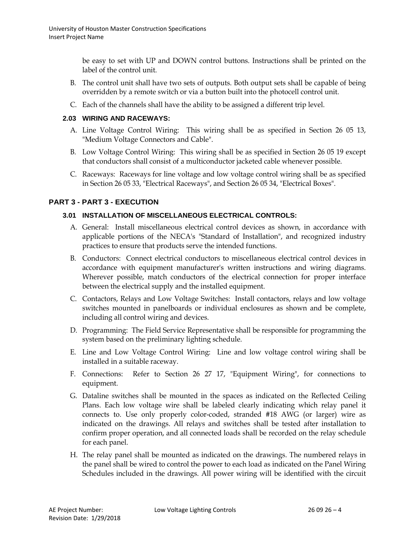be easy to set with UP and DOWN control buttons. Instructions shall be printed on the label of the control unit.

- B. The control unit shall have two sets of outputs. Both output sets shall be capable of being overridden by a remote switch or via a button built into the photocell control unit.
- C. Each of the channels shall have the ability to be assigned a different trip level.

## **2.03 WIRING AND RACEWAYS:**

- A. Line Voltage Control Wiring: This wiring shall be as specified in Section 26 05 13, "Medium Voltage Connectors and Cable".
- B. Low Voltage Control Wiring: This wiring shall be as specified in Section 26 05 19 except that conductors shall consist of a multiconductor jacketed cable whenever possible.
- C. Raceways: Raceways for line voltage and low voltage control wiring shall be as specified in Section 26 05 33, "Electrical Raceways", and Section 26 05 34, "Electrical Boxes".

## **PART 3 - PART 3 - EXECUTION**

## **3.01 INSTALLATION OF MISCELLANEOUS ELECTRICAL CONTROLS:**

- A. General: Install miscellaneous electrical control devices as shown, in accordance with applicable portions of the NECA's "Standard of Installation", and recognized industry practices to ensure that products serve the intended functions.
- B. Conductors: Connect electrical conductors to miscellaneous electrical control devices in accordance with equipment manufacturer's written instructions and wiring diagrams. Wherever possible, match conductors of the electrical connection for proper interface between the electrical supply and the installed equipment.
- C. Contactors, Relays and Low Voltage Switches: Install contactors, relays and low voltage switches mounted in panelboards or individual enclosures as shown and be complete, including all control wiring and devices.
- D. Programming: The Field Service Representative shall be responsible for programming the system based on the preliminary lighting schedule.
- E. Line and Low Voltage Control Wiring: Line and low voltage control wiring shall be installed in a suitable raceway.
- F. Connections: Refer to Section 26 27 17, "Equipment Wiring", for connections to equipment.
- G. Dataline switches shall be mounted in the spaces as indicated on the Reflected Ceiling Plans. Each low voltage wire shall be labeled clearly indicating which relay panel it connects to. Use only properly color-coded, stranded #18 AWG (or larger) wire as indicated on the drawings. All relays and switches shall be tested after installation to confirm proper operation, and all connected loads shall be recorded on the relay schedule for each panel.
- H. The relay panel shall be mounted as indicated on the drawings. The numbered relays in the panel shall be wired to control the power to each load as indicated on the Panel Wiring Schedules included in the drawings. All power wiring will be identified with the circuit